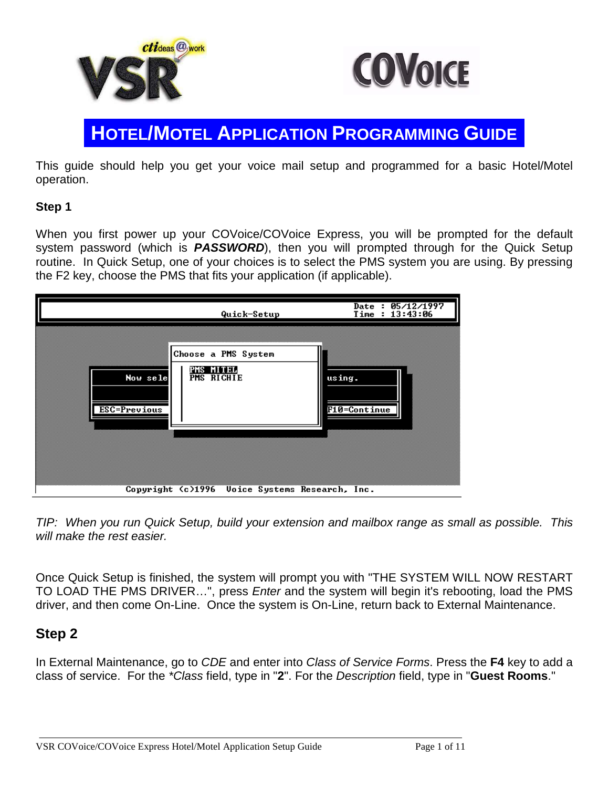



# **HOTEL/MOTEL APPLICATION PROGRAMMING GUIDE**

This guide should help you get your voice mail setup and programmed for a basic Hotel/Motel operation.

#### **Step 1**

When you first power up your COVoice/COVoice Express, you will be prompted for the default system password (which is *PASSWORD*), then you will prompted through for the Quick Setup routine. In Quick Setup, one of your choices is to select the PMS system you are using. By pressing the F2 key, choose the PMS that fits your application (if applicable).

|                          | Quick-Setup                                           | Date: $05/12/1997$<br>Time: 13:43:06 |
|--------------------------|-------------------------------------------------------|--------------------------------------|
| Now sele<br>ESC=Previous | Choose a PMS System<br><b>PHS HIMMA</b><br>PMS RICHIE | using.<br><b>F10=Continue</b>        |
|                          | Copyright (c)1996 Voice Systems Research, Inc.        |                                      |

*TIP: When you run Quick Setup, build your extension and mailbox range as small as possible. This will make the rest easier.*

Once Quick Setup is finished, the system will prompt you with "THE SYSTEM WILL NOW RESTART TO LOAD THE PMS DRIVER…", press *Enter* and the system will begin it's rebooting, load the PMS driver, and then come On-Line. Once the system is On-Line, return back to External Maintenance.

### **Step 2**

In External Maintenance, go to *CDE* and enter into *Class of Service Forms*. Press the **F4** key to add a class of service. For the *\*Class* field, type in "**2**". For the *Description* field, type in "**Guest Rooms**."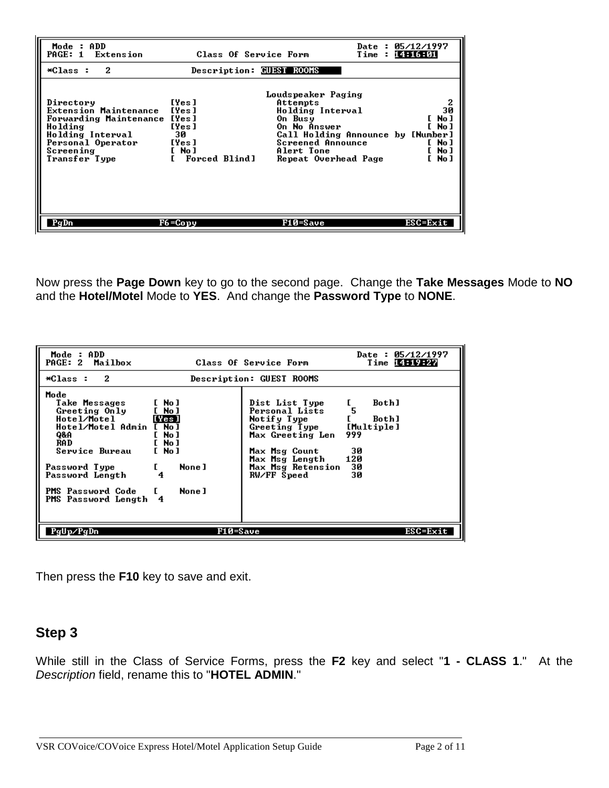| Mode : ADD<br>PAGE: 1 Extension                                                                                                                      | Class Of Service Form                                             |                                                                                                                                                                               | Date : 05/12/1997<br>Time: 14:16:01          |
|------------------------------------------------------------------------------------------------------------------------------------------------------|-------------------------------------------------------------------|-------------------------------------------------------------------------------------------------------------------------------------------------------------------------------|----------------------------------------------|
| $*Class:$<br>- 2                                                                                                                                     | Description: GUEST ROOMS                                          |                                                                                                                                                                               |                                              |
| Directory<br>Extension Maintenance<br>Forwarding Maintenance [Yes]<br>Holding<br>Holding Interval<br>Personal Operator<br>Screening<br>Transfer Type | [Yes]<br>[Yes]<br>[Yes]<br>30<br>[Yes]<br>[ No ]<br>Forced Blindl | Loudspeaker Paging<br>Attempts<br>Holding Interval<br>On Busy<br>On No Answer<br>Call Holding Announce by [Number]<br>Screened Announce<br>Alert Tone<br>Repeat Overhead Page | 30<br>No J<br>No J<br>[ No ]<br>No J<br>No J |
| PqDn                                                                                                                                                 | F6=Copy                                                           | F10=Save                                                                                                                                                                      | ESC=Exit                                     |

Now press the **Page Down** key to go to the second page. Change the **Take Messages** Mode to **NO** and the **Hotel/Motel** Mode to **YES**. And change the **Password Type** to **NONE**.

| Mode : ADD<br>PAGE: 2 Mailbox                                                                                                                                                                    |                                                                                                    | Class Of Service Form                                                                                                                                       | Date : 05/12/1997<br>Time 14:19:27                                 |
|--------------------------------------------------------------------------------------------------------------------------------------------------------------------------------------------------|----------------------------------------------------------------------------------------------------|-------------------------------------------------------------------------------------------------------------------------------------------------------------|--------------------------------------------------------------------|
| 2<br>*Class :                                                                                                                                                                                    |                                                                                                    | Description: GUEST ROOMS                                                                                                                                    |                                                                    |
| Mode<br>Take Messages<br>Greeting Only<br>Hotel/Motel<br>Hotel/Motel Admin [ No]<br>Q&A<br>RAD<br>Service Bureau<br>Password Type<br>Password Length<br>PMS Password Code<br>PMS Password Length | [ No ]<br>[ No ]<br>[Yes]<br>$[$ No $]$<br>[ No ]<br>$[$ No $]$<br>None 1<br>L<br>4<br>None 1<br>4 | Dist List Type<br>Personal Lists<br>Notify Type<br>Greeting Type<br>Max Greeting Len<br>Max Msg Count<br>Max Msg Length<br>Max Msg Retension<br>RW/FF Speed | Both]<br>5<br>Both 1<br>[Multiple]<br>999<br>30<br>120<br>30<br>30 |
| PaUp/PaDn                                                                                                                                                                                        | F10=Save                                                                                           |                                                                                                                                                             | ESC=Exit                                                           |

Then press the **F10** key to save and exit.

### **Step 3**

While still in the Class of Service Forms, press the **F2** key and select "**1 - CLASS 1**." At the *Description* field, rename this to "**HOTEL ADMIN**."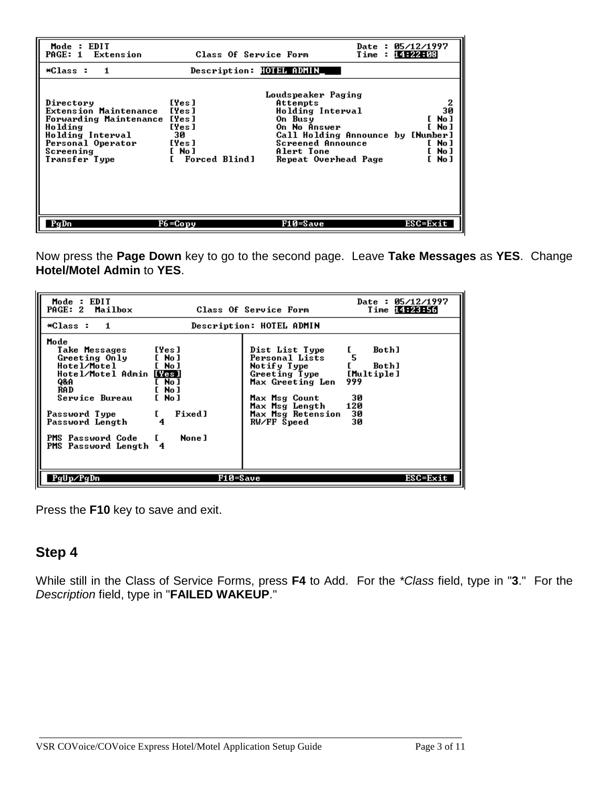| Mode : EDIT<br>PAGE: 1 Extension                                                                                                                     | Class Of Service Form                                                 |                                                                                                                                                                               | Date :<br>Time : | 05/12/1997<br>14:22:08                         |
|------------------------------------------------------------------------------------------------------------------------------------------------------|-----------------------------------------------------------------------|-------------------------------------------------------------------------------------------------------------------------------------------------------------------------------|------------------|------------------------------------------------|
| *Class :<br>$\blacksquare$                                                                                                                           |                                                                       | Description: HOTEL ADMIN                                                                                                                                                      |                  |                                                |
| Directory<br>Extension Maintenance<br>Forwarding Maintenance [Yes]<br>Holding<br>Holding Interval<br>Personal Operator<br>Screening<br>Transfer Type | [Yes]<br>[Yes]<br>[Yes]<br>30<br>[Yes]<br>$[$ No $]$<br>Forced Blindl | Loudspeaker Paging<br>Attempts<br>Holding Interval<br>On Busv<br>On No Answer<br>Call Holding Announce by [Number]<br>Screened Announce<br>Alert Tone<br>Repeat Overhead Page |                  | 30<br>[ No ]<br>No J<br>[ No ]<br>No J<br>No J |
| PgDn                                                                                                                                                 | F6=Copy                                                               | F10=Save                                                                                                                                                                      |                  | ESC=Exit                                       |

Now press the **Page Down** key to go to the second page. Leave **Take Messages** as **YES**. Change **Hotel/Motel Admin** to **YES**.

| <b>EDIT</b><br>Mode:<br>PAGE: 2<br>Mailbox                                                                                                                                                              | Class Of Service Form                                                                     |                                                                                                                                                             | Date: $05/12/1997$<br>Time 14:23:56                          |          |
|---------------------------------------------------------------------------------------------------------------------------------------------------------------------------------------------------------|-------------------------------------------------------------------------------------------|-------------------------------------------------------------------------------------------------------------------------------------------------------------|--------------------------------------------------------------|----------|
| *Class :<br>$\blacksquare$                                                                                                                                                                              |                                                                                           | Description: HOTEL ADMIN                                                                                                                                    |                                                              |          |
| Mode<br>Take Messages<br>Greeting Only<br>Hotel/Motel<br>Hotel/Motel Admin Wesl<br>Q&A<br>RA D<br>Service Bureau<br>Password Type<br>Password Length<br><b>PMS Password Code</b><br>PMS Password Length | [Yes]<br>$[$ No $]$<br>[ No ]<br>[ No ]<br>[ No ]<br>[ No ]<br>Fixedl<br>4<br>None 1<br>4 | Dist List Type<br>Personal Lists<br>Notify Type<br>Greeting Type<br>Max Greeting Len<br>Max Msg Count<br>Max Msg Length<br>Max Msg Retension<br>RW/FF Speed | Bothl<br>Both]<br>[Multiple]<br>999<br>30<br>120<br>30<br>30 |          |
| PgUp∕PgDn                                                                                                                                                                                               | <b>F10=Save</b>                                                                           |                                                                                                                                                             |                                                              | ESC=Exit |

Press the **F10** key to save and exit.

### **Step 4**

While still in the Class of Service Forms, press **F4** to Add. For the *\*Class* field, type in "**3**." For the *Description* field, type in "**FAILED WAKEUP**."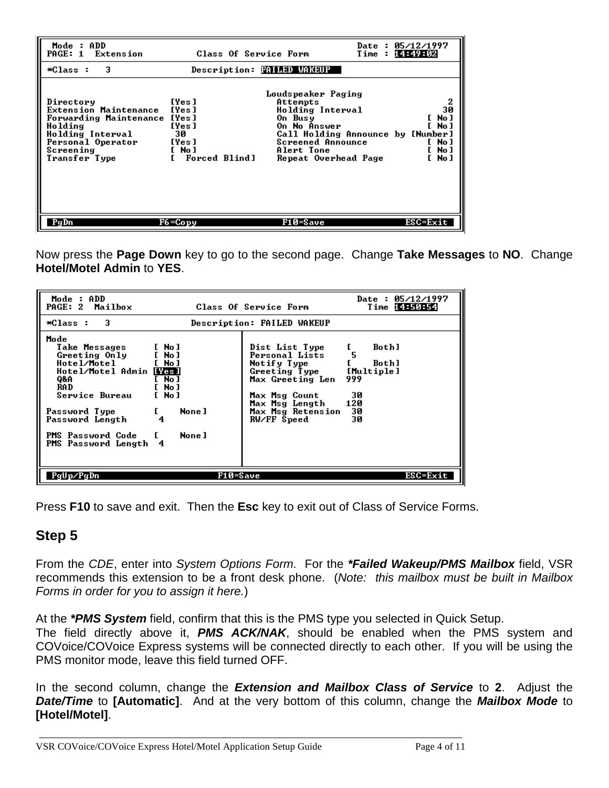| Mode : ADD<br>PAGE: 1 Extension                                                                                                                             | Class Of Service Form                                             |                                                                                                                                                                                      | Date :<br>Time : | 05/12/1997<br>14:49:02                       |
|-------------------------------------------------------------------------------------------------------------------------------------------------------------|-------------------------------------------------------------------|--------------------------------------------------------------------------------------------------------------------------------------------------------------------------------------|------------------|----------------------------------------------|
| - 3<br>$*Class:$                                                                                                                                            |                                                                   | Description: FAILED WAKEUP                                                                                                                                                           |                  |                                              |
| Directory<br><b>Extension Maintenance</b><br>Forwarding Maintenance [Yes]<br>Holding<br>Holding Interval<br>Personal Operator<br>Screening<br>Transfer Type | [Yes]<br>[Yes]<br>[Yes]<br>30<br>[Yes]<br>[ No ]<br>Forced Blindl | Loudspeaker Paging<br>Attempts<br>Holding Interval<br>On Busy<br>On No Answer<br>Call Holding Announce by [Number]<br><b>Screened Announce</b><br>Alert Tone<br>Repeat Overhead Page |                  | 30<br>No J<br>No J<br>[ No ]<br>No J<br>No J |
| PaDn                                                                                                                                                        | F6=Copy                                                           | F10=Save                                                                                                                                                                             |                  | <b>ESC=Exit</b>                              |

Now press the **Page Down** key to go to the second page. Change **Take Messages** to **NO**. Change **Hotel/Motel Admin** to **YES**.

| Mode: ADD<br>PAGE: 2 Mailbox                                                                                                                                                                        | Class Of Service Form                                                                     | Date: $05/12/1997$<br>Time 14:50:54                                                                                                                         |                                                                                   |
|-----------------------------------------------------------------------------------------------------------------------------------------------------------------------------------------------------|-------------------------------------------------------------------------------------------|-------------------------------------------------------------------------------------------------------------------------------------------------------------|-----------------------------------------------------------------------------------|
| -3<br>*Class :                                                                                                                                                                                      |                                                                                           | Description: FAILED WAKEUP                                                                                                                                  |                                                                                   |
| Mode<br>Take Messages<br>Greeting Only<br>Hotel/Motel<br>Hotel/Motel Admin [Yes]<br>Q&A<br>RA D<br>Service Bureau<br>Password Type<br>Password Length<br>PMS Password Code<br>PMS Password Length 4 | [ No ]<br>[ No ]<br>[ No ]<br>[ No ]<br>$[$ No $]$<br>$[$ No $]$<br>None ]<br>4<br>None 1 | Dist List Type<br>Personal Lists<br>Notify Type<br>Greeting Type<br>Max Greeting Len<br>Max Msg Count<br>Max Msg Length<br>Max Msg Retension<br>RW/FF Speed | <b>Both</b> ]<br>5<br><b>Both</b> ]<br>[Multiple]<br>999<br>30<br>120<br>30<br>30 |
| PgUp/PgDn                                                                                                                                                                                           | F10=Save                                                                                  |                                                                                                                                                             | $ESC = Exit$                                                                      |

Press **F10** to save and exit. Then the **Esc** key to exit out of Class of Service Forms.

### **Step 5**

From the *CDE*, enter into *System Options Form*. For the *\*Failed Wakeup/PMS Mailbox* field, VSR recommends this extension to be a front desk phone. (*Note: this mailbox must be built in Mailbox Forms in order for you to assign it here.*)

At the *\*PMS System* field, confirm that this is the PMS type you selected in Quick Setup.

The field directly above it, *PMS ACK/NAK*, should be enabled when the PMS system and COVoice/COVoice Express systems will be connected directly to each other. If you will be using the PMS monitor mode, leave this field turned OFF.

In the second column, change the *Extension and Mailbox Class of Service* to **2**. Adjust the *Date/Time* to **[Automatic]**. And at the very bottom of this column, change the *Mailbox Mode* to **[Hotel/Motel]**.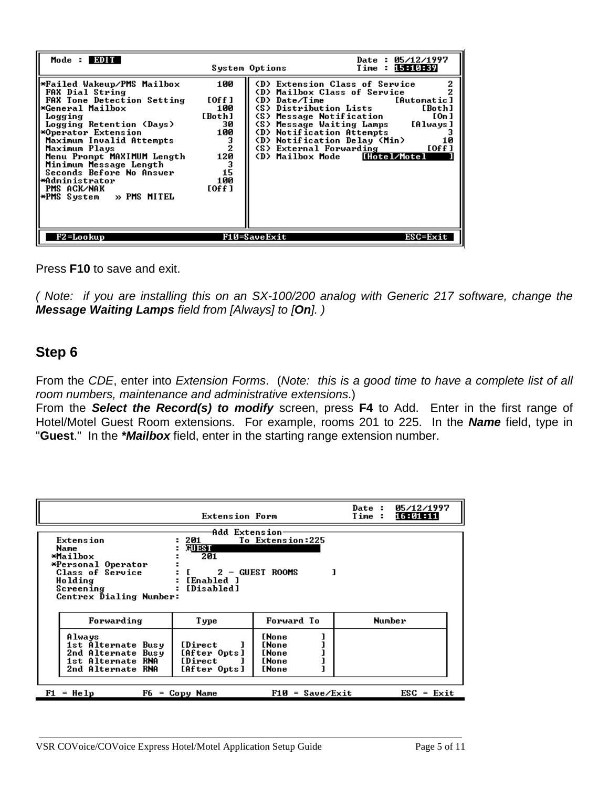| Mode : EDIT                                                                                                                                                                                                                                                                                                                                                               |                                                                                               | Date: $05/12/1997$<br>15:10:39<br>System Options<br>Time :                                                                                                                                                                                                                                                                                                      |
|---------------------------------------------------------------------------------------------------------------------------------------------------------------------------------------------------------------------------------------------------------------------------------------------------------------------------------------------------------------------------|-----------------------------------------------------------------------------------------------|-----------------------------------------------------------------------------------------------------------------------------------------------------------------------------------------------------------------------------------------------------------------------------------------------------------------------------------------------------------------|
| *Failed Wakeup⁄PMS Mailbox<br>FAX Dial String<br>FAX Tone Detection Setting<br>  *General Mailbox<br>Logging<br>Logging Retention (Days)<br>ll*Operator Extension<br>Maximum Invalid Attempts<br>Maximum Plays<br>Menu Prompt MAXIMUM Length<br>Minimum Message Length<br>Seconds Before No Answer<br><b>Medicial Strator</b><br>PMS ACK/NAK<br>  *PMS System → PMS MITEL | 100<br>[0ff]<br>100<br>[Both]<br>30<br>100<br>$\frac{3}{2}$<br>120<br>з<br>15<br>100<br>[Off] | 2<br>(D) Extension Class of Service<br>(D) Mailbox Class of Service<br>(D) Date/Time<br>[Automatic]<br>(S) Distribution Lists<br>[Both]<br>[0n]<br>(S) Message Notification<br>[Always]<br>(S) Message Waiting Lamps<br>(D) Notification Attempts<br>(D) Notification Delay (Min)<br>10<br>[0ff]<br>(S) External Forwarding<br>[Hotel/Motel<br>(D) Mailbox Mode |
| F2=Lookup                                                                                                                                                                                                                                                                                                                                                                 |                                                                                               | <b>ESC=Exit</b><br><b>F10=SaveExit</b>                                                                                                                                                                                                                                                                                                                          |

Press **F10** to save and exit.

*( Note: if you are installing this on an SX-100/200 analog with Generic 217 software, change the Message Waiting Lamps field from [Always] to [On]. )*

#### **Step 6**

From the *CDE*, enter into *Extension Forms*. (*Note: this is a good time to have a complete list of all room numbers, maintenance and administrative extensions*.)

From the *Select the Record(s) to modify* screen, press **F4** to Add. Enter in the first range of Hotel/Motel Guest Room extensions. For example, rooms 201 to 225. In the *Name* field, type in "**Guest**." In the *\*Mailbox* field, enter in the starting range extension number.

|                                                                                                                                                                                                                                                                         | Date :<br>Time :                                                               | 05/12/1997<br>16:01:11                                                       |  |                            |  |
|-------------------------------------------------------------------------------------------------------------------------------------------------------------------------------------------------------------------------------------------------------------------------|--------------------------------------------------------------------------------|------------------------------------------------------------------------------|--|----------------------------|--|
| Add Extension<br>: 201<br>To Extension:225<br>Extension<br>GUEST<br>Name<br>*Mailbox<br>201<br>*Personal Operator<br>$\mathbf{L}$<br><b>Class of Service</b><br>$2 - GUEST$ ROOMS<br>1<br>: [Enabled ]<br>Holding<br>[Disabled]<br>Screening<br>Centrex Dialing Number: |                                                                                |                                                                              |  |                            |  |
| Forwarding                                                                                                                                                                                                                                                              | T ype                                                                          | Forward To                                                                   |  | Number                     |  |
| Always<br>1st Alternate Busy<br>2nd Alternate Busy<br>1st Alternate RNA<br>2nd Alternate RNA                                                                                                                                                                            | <i><b>IDirect</b></i><br>[After Opts]<br><i><b>IDirect</b></i><br>[After Opts] | <b>[None</b><br><b>CNone</b><br><b>ENone</b><br><b>[None</b><br><b>ENone</b> |  |                            |  |
| F1<br>$=$ Help<br>F6 -                                                                                                                                                                                                                                                  | = Copy Name                                                                    | $F10 = Save/Ex$ it                                                           |  | $\text{ESC} = \text{Exit}$ |  |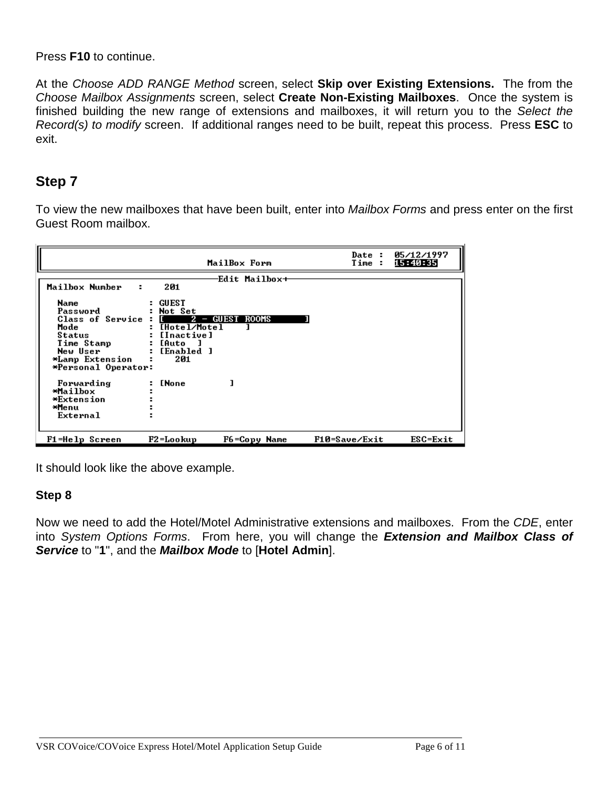Press **F10** to continue.

At the *Choose ADD RANGE Method* screen, select **Skip over Existing Extensions.** The from the *Choose Mailbox Assignments* screen, select **Create Non-Existing Mailboxes**. Once the system is finished building the new range of extensions and mailboxes, it will return you to the *Select the Record(s) to modify* screen. If additional ranges need to be built, repeat this process. Press **ESC** to exit.

### **Step 7**

To view the new mailboxes that have been built, enter into *Mailbox Forms* and press enter on the first Guest Room mailbox.

| I                    | MailBox Form              | Date:<br>Time: | 05/12/1997<br>15:40:35 |
|----------------------|---------------------------|----------------|------------------------|
|                      | Edit Mailbox+             |                |                        |
| Mailbox Number<br>÷  | 201                       |                |                        |
| Name                 | : GUEST                   |                |                        |
| Password             | : Not Set                 |                |                        |
| Class of Service : I | $2 - GUEST$ ROOMS         |                |                        |
| Mode                 | : $[{\tt Hote1/Mote1}]$   |                |                        |
| Status               | : [Inactive]              |                |                        |
| Time Stamp           | : [Auto                   |                |                        |
| New User             | [Enabled ]                |                |                        |
| *Lamp Extension      | 201                       |                |                        |
| *Personal Operator:  |                           |                |                        |
| Forwarding           | <b>CNone</b>              |                |                        |
| *Mailbox             |                           |                |                        |
| *Extension           |                           |                |                        |
| *Menu                |                           |                |                        |
| External             |                           |                |                        |
| F1=Help Screen       | F2=Lookup<br>F6=Copy Name | F10=Save/Exit  | $ESC=Exit$             |

It should look like the above example.

#### **Step 8**

Now we need to add the Hotel/Motel Administrative extensions and mailboxes. From the *CDE*, enter into *System Options Forms*. From here, you will change the *Extension and Mailbox Class of Service* to "**1**", and the *Mailbox Mode* to [**Hotel Admin**].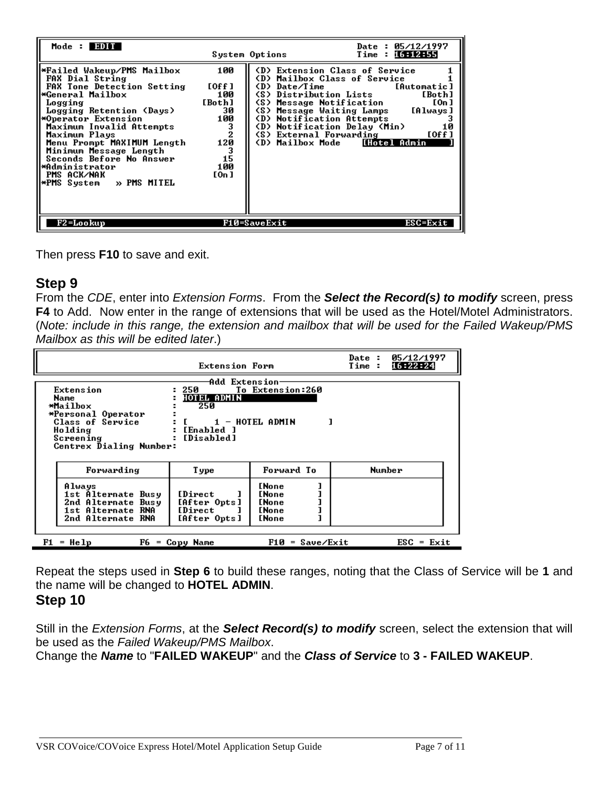| Mode: EDMT                                                                                                                                                                                                                                                                                                                                                               |                                                                                                       | Date: $05/12/1997$<br>Time:16:12:55<br>System Options                                                                                                                                                                                                                                                                                                                        |
|--------------------------------------------------------------------------------------------------------------------------------------------------------------------------------------------------------------------------------------------------------------------------------------------------------------------------------------------------------------------------|-------------------------------------------------------------------------------------------------------|------------------------------------------------------------------------------------------------------------------------------------------------------------------------------------------------------------------------------------------------------------------------------------------------------------------------------------------------------------------------------|
| *Failed Wakeup⁄PMS Mailbox<br>FAX Dial String<br>FAX Tone Detection Setting<br>*General Mailbox<br>Logging<br>Logging Retention (Days)<br>*Operator Extension<br>Maximum Invalid Attempts<br>Maximum Plays<br>Menu Prompt MAXIMUM Length<br>Minimum Message Length<br>Seconds Before No Answer<br>∗Administrator<br>PMS ACK/NAK<br><b>*PMS System &gt;&gt; PMS MITEL</b> | 100<br>[0.6f]<br>100<br>[Both]<br>30<br>100<br>$\frac{3}{2}$<br>120<br>$\frac{3}{15}$<br>100<br>[0n ] | (D) Extension Class of Service<br>(D) Mailbox Class of Service<br><b><d> Date∕Time</d></b><br>[Automatic]<br>(S) Distribution Lists<br>[Both]<br>[0n]<br>(S) Message Notification<br>[Always]<br>(S) Message Waiting Lamps<br>(D) Notification Attempts<br>10<br>(D) Notification Delay (Min)<br>(S) External Forwarding<br>[Off]<br><b>IHotel Admin</b><br>(D) Mailbox Mode |
| F2=Lookup                                                                                                                                                                                                                                                                                                                                                                |                                                                                                       | $ESC=Exit$<br>F10=SaveExit                                                                                                                                                                                                                                                                                                                                                   |

Then press **F10** to save and exit.

### **Step 9**

From the *CDE*, enter into *Extension Forms*. From the *Select the Record(s) to modify* screen, press **F4** to Add. Now enter in the range of extensions that will be used as the Hotel/Motel Administrators. (*Note: include in this range, the extension and mailbox that will be used for the Failed Wakeup/PMS Mailbox as this will be edited later*.)

|                                                                                                                                                                                                                                                                              | Extension Form                                                    |                                                                              | Date:<br>Time: | 05/12/1997<br>16:22:24     |  |
|------------------------------------------------------------------------------------------------------------------------------------------------------------------------------------------------------------------------------------------------------------------------------|-------------------------------------------------------------------|------------------------------------------------------------------------------|----------------|----------------------------|--|
| Add Extension<br>Extension<br>: 250<br>To Extension:260<br>HOTEL ADMIN<br>Name<br>*Mailbox<br>250<br>*Personal Operator<br>$\mathbf{E}$<br>$1$ - HOTEL ADMIN<br><b>Class of Service</b><br>[Enabled ]<br>Holding<br>÷.<br>[Disabled]<br>Screening<br>Centrex Dialing Number: |                                                                   |                                                                              |                |                            |  |
| Forwarding                                                                                                                                                                                                                                                                   | <b>Type</b>                                                       | Forward To                                                                   | <b>Number</b>  |                            |  |
| Always<br>1st Alternate Busy<br>2nd Alternate Busy<br>1st Alternate RNA<br>2nd Alternate RNA                                                                                                                                                                                 | <i><b>IDirect</b></i><br>[After Opts]<br>[Direct]<br>[After Opts] | <b>[None</b><br><b>ENone</b><br><b>[None</b><br><b>ENone</b><br><b>[None</b> |                |                            |  |
| F1.<br>F6<br>$=$ Help                                                                                                                                                                                                                                                        | = Copy Name                                                       | $F10 = Save/Ex$ it                                                           |                | $\text{ESC} = \text{Exit}$ |  |

Repeat the steps used in **Step 6** to build these ranges, noting that the Class of Service will be **1** and the name will be changed to **HOTEL ADMIN**.

### **Step 10**

Still in the *Extension Forms*, at the *Select Record(s) to modify* screen, select the extension that will be used as the *Failed Wakeup/PMS Mailbox*.

Change the *Name* to "**FAILED WAKEUP**" and the *Class of Service* to **3 - FAILED WAKEUP**.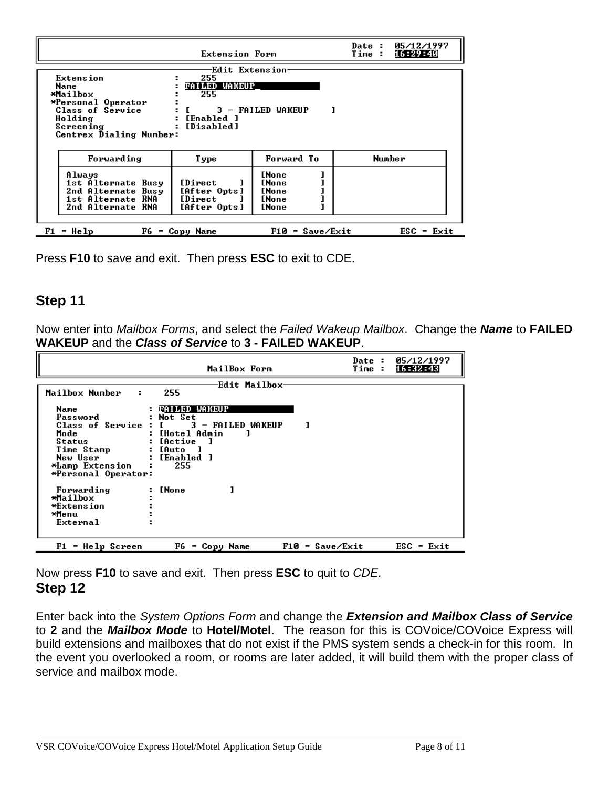|                                                                                                                                                                                                                                                                | 05/12/1997<br>Date :<br>16:29:40<br>Time: |            |               |  |  |  |  |
|----------------------------------------------------------------------------------------------------------------------------------------------------------------------------------------------------------------------------------------------------------------|-------------------------------------------|------------|---------------|--|--|--|--|
| Edit Extension<br>Extension<br>255<br><b>FAILED WAKEUP</b><br><b>Name</b><br>*Mailbox<br>255<br>*Personal Operator<br>ı<br>3 - FAILED WAKEUP<br>Class of Service<br>Holding<br>[Enabled ]<br>[Disabled]<br>Screening<br>Centrex Dialing Number:                |                                           |            |               |  |  |  |  |
| Forwarding                                                                                                                                                                                                                                                     | <b>Type</b>                               | Forward To | <b>Number</b> |  |  |  |  |
| <b>ENone</b><br>Always<br>1st Alternate Busy<br><i><b>IDirect</b></i><br><b>ENone</b><br>2nd Alternate Busv<br><b>ENone</b><br>[After Opts]<br>1st Alternate RNA<br><i><b>IDirect</b></i><br><b>ENone</b><br>2nd Alternate RNA<br><b>[None</b><br>[After Opts] |                                           |            |               |  |  |  |  |
| F1<br>$=$ Help<br>$F10 = Save/Ex$ it<br>$\text{ESC} = \text{Exit}$<br>$F6 = Copy Name$                                                                                                                                                                         |                                           |            |               |  |  |  |  |

Press **F10** to save and exit. Then press **ESC** to exit to CDE.

### **Step 11**

Now enter into *Mailbox Forms*, and select the *Failed Wakeup Mailbox*. Change the *Name* to **FAILED WAKEUP** and the *Class of Service* to **3 - FAILED WAKEUP**.

|                                                                                                                            | MailBox Form                                                                                                                                        | 05/12/1997<br>Date :<br>16:32:43<br>Time :       |
|----------------------------------------------------------------------------------------------------------------------------|-----------------------------------------------------------------------------------------------------------------------------------------------------|--------------------------------------------------|
| Mailbox Number<br>÷                                                                                                        | Edit Mailbox-<br>255                                                                                                                                |                                                  |
| Name<br>Password<br>Class of Service<br>Mode<br>Status<br>Time Stamp<br>New User<br>*Lamp Extension<br>*Personal Operator: | FAILED WAKEUP<br>Not Set<br>3 - FAILED WAKEUP<br>: [Hotel Admin<br><b><i><u>EActive</u></i></b><br>$\blacksquare$<br>: [Auto<br>: [Enabled ]<br>255 |                                                  |
| Forwarding<br>*Mailbox<br>*Extension<br>*Menu<br>External                                                                  | <b>CNone</b>                                                                                                                                        |                                                  |
| $F1 = He1p$ Screen                                                                                                         | $F6 = Copy Name$                                                                                                                                    | $F10 = Save/Ex$ it<br>$\text{ESC} = \text{Exit}$ |

Now press **F10** to save and exit. Then press **ESC** to quit to *CDE*. **Step 12**

Enter back into the *System Options Form* and change the *Extension and Mailbox Class of Service* to **2** and the *Mailbox Mode* to **Hotel/Motel**. The reason for this is COVoice/COVoice Express will build extensions and mailboxes that do not exist if the PMS system sends a check-in for this room. In the event you overlooked a room, or rooms are later added, it will build them with the proper class of service and mailbox mode.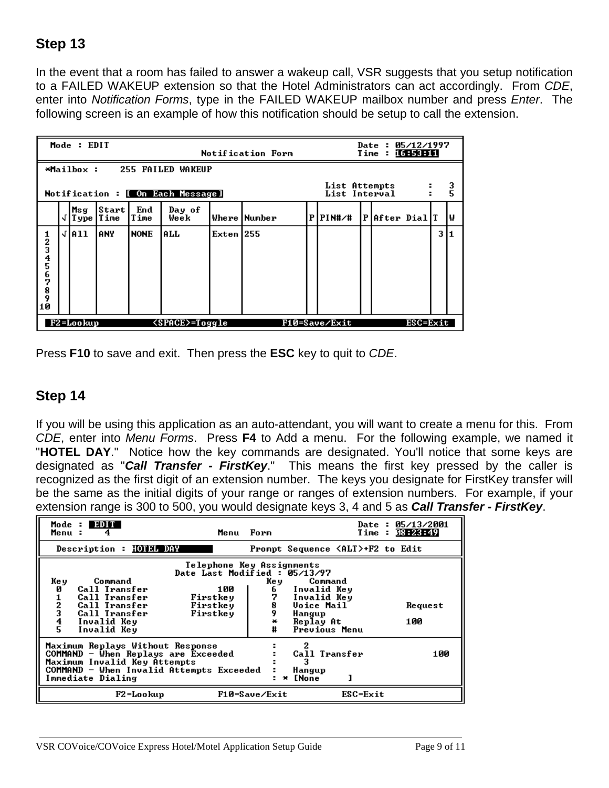## **Step 13**

In the event that a room has failed to answer a wakeup call, VSR suggests that you setup notification to a FAILED WAKEUP extension so that the Hotel Administrators can act accordingly. From *CDE*, enter into *Notification Forms*, type in the FAILED WAKEUP mailbox number and press *Enter*. The following screen is an example of how this notification should be setup to call the extension.

| Mode : EDIT<br>05/12/1997<br>Date<br>÷<br>16:53:11<br>Notification Form<br>Time : |                                                                             |                        |                 |             |                |                                                       |                |  |          |  |                        |  |   |    |
|-----------------------------------------------------------------------------------|-----------------------------------------------------------------------------|------------------------|-----------------|-------------|----------------|-------------------------------------------------------|----------------|--|----------|--|------------------------|--|---|----|
|                                                                                   | *Mailbox :<br>255 FAILED WAKEUP                                             |                        |                 |             |                |                                                       |                |  |          |  |                        |  |   |    |
| Notification : [ On Each Message]                                                 |                                                                             |                        |                 |             |                | $\frac{3}{5}$<br>List Attempts<br>ŧ.<br>List Interval |                |  |          |  |                        |  |   |    |
|                                                                                   |                                                                             | ∣Msg<br>$\sqrt{1}$ ype | Start <br> Time | End<br>Time | Day of<br>Week |                                                       | Where   Number |  | P PIN#∕# |  | <b>IPIAfter DiallT</b> |  |   | l۷ |
| 123456789<br>10                                                                   |                                                                             | <b>JIA11</b>           | <b>ANY</b>      | <b>NONE</b> | l A LL         | Exten 1255                                            |                |  |          |  |                        |  | 3 |    |
|                                                                                   | F2=Lookup<br>$\langle$ SPACE $\rangle$ =Toggle<br>F10=Save/Exit<br>ESC=Exit |                        |                 |             |                |                                                       |                |  |          |  |                        |  |   |    |

Press **F10** to save and exit. Then press the **ESC** key to quit to *CDE*.

### **Step 14**

If you will be using this application as an auto-attendant, you will want to create a menu for this. From *CDE*, enter into *Menu Forms*. Press **F4** to Add a menu. For the following example, we named it "**HOTEL DAY**." Notice how the key commands are designated. You'll notice that some keys are designated as "*Call Transfer - FirstKey*." This means the first key pressed by the caller is recognized as the first digit of an extension number. The keys you designate for FirstKey transfer will be the same as the initial digits of your range or ranges of extension numbers. For example, if your extension range is 300 to 500, you would designate keys 3, 4 and 5 as *Call Transfer - FirstKey*.

| <b>EDIT</b><br>Mode :<br>Menu :<br>4                                                                                                                                     | Menu Form            |                                                            | Time:                                     | Date: $05/13/2001$<br>08:23:49 |
|--------------------------------------------------------------------------------------------------------------------------------------------------------------------------|----------------------|------------------------------------------------------------|-------------------------------------------|--------------------------------|
| Description : HOTEL DAY                                                                                                                                                  |                      |                                                            | Prompt Sequence <alt>+F2 to Edit</alt>    |                                |
|                                                                                                                                                                          |                      | Telephone Key Assignments<br>Date Last Modified : 05/13/97 |                                           |                                |
| Key<br>Command<br>Call Transfer<br>Ø<br>Call Transfer                                                                                                                    | 100<br>Firstkey      | Ke y-<br>6.<br>7                                           | Command<br>Invalid Key<br>Invalid Key     |                                |
| $\frac{2}{3}$<br>Call Transfer<br>Call Transfer                                                                                                                          | Firstkey<br>Firstkey | 8<br>ğ                                                     | <b>Voice Mail</b><br>Hangup               | Request                        |
| Invalid Key<br>5<br>Invalid Key                                                                                                                                          |                      | $\pm$<br>#                                                 | Replay At<br>Previous Menu                | 100                            |
| Maximum Replays Without Response<br>COMMAND - When Replays are Exceeded<br>Maximum Invalid Key Attempts<br>COMMAND - When Invalid Attempts Exceeded<br>Immediate Dialing |                      |                                                            | <b>Call Transfer</b><br>Hangup<br>* [None | 100                            |
| F2=Lookup                                                                                                                                                                |                      | $F10 = Save/Ex$ it                                         | $ESC=Exit$                                |                                |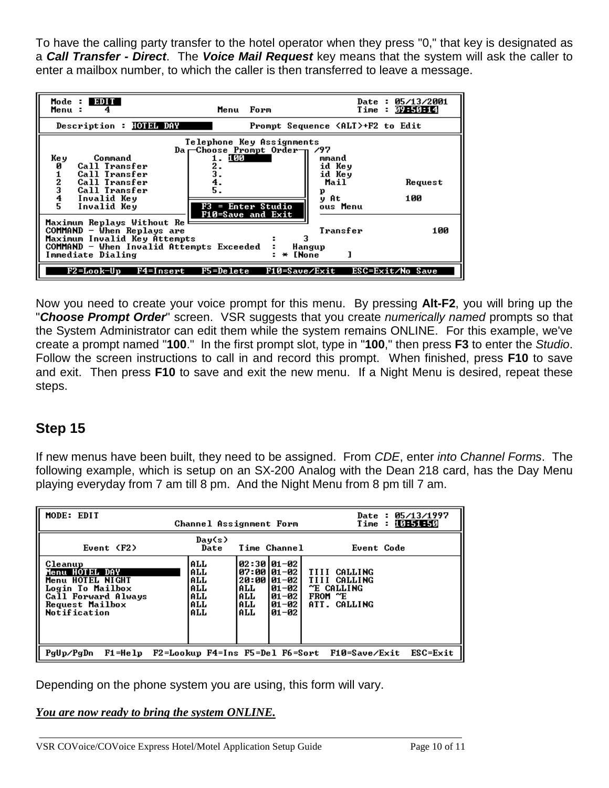To have the calling party transfer to the hotel operator when they press "0," that key is designated as a *Call Transfer - Direct*. The *Voice Mail Request* key means that the system will ask the caller to enter a mailbox number, to which the caller is then transferred to leave a message.



Now you need to create your voice prompt for this menu. By pressing **Alt-F2**, you will bring up the "*Choose Prompt Order*" screen. VSR suggests that you create *numerically named* prompts so that the System Administrator can edit them while the system remains ONLINE. For this example, we've create a prompt named "**100**." In the first prompt slot, type in "**100**," then press **F3** to enter the *Studio*. Follow the screen instructions to call in and record this prompt. When finished, press **F10** to save and exit. Then press **F10** to save and exit the new menu. If a Night Menu is desired, repeat these steps.

### **Step 15**

If new menus have been built, they need to be assigned. From *CDE*, enter *into Channel Forms*. The following example, which is setup on an SX-200 Analog with the Dean 218 card, has the Day Menu playing everyday from 7 am till 8 pm. And the Night Menu from 8 pm till 7 am.

| MODE: EDIT                                                                                                                         | Channel Assignment Form                       |                                                                                  |                                                             |                                                                       | Date: $05/13/1997$<br>Time: 10:51:50 |  |  |
|------------------------------------------------------------------------------------------------------------------------------------|-----------------------------------------------|----------------------------------------------------------------------------------|-------------------------------------------------------------|-----------------------------------------------------------------------|--------------------------------------|--|--|
| Event (F2)                                                                                                                         | Day(s)<br>Date                                |                                                                                  | Time Channel                                                | Event Code                                                            |                                      |  |  |
| Cleanup<br>Menu HOTEL DAY<br>Menu HOTEL NIGHT<br>Login To Mailbox<br><b>Call Forward Always</b><br>Request Mailbox<br>Notification | ALL<br>ALL<br>ALL<br>ALL<br>ALL<br>ALL<br>ALL | 02 : 30   01 – 02<br>  07 : 00   01 – 02<br>IALL.<br>I A LL<br>I A LL<br>I A L.L | 20:00 01-02 <br>$01 - 02$<br>$01 - 02$<br> 01–02  <br>01-02 | TIII CALLING<br>TIII CALLING<br>"E CALLING<br>FROM "E<br>ATT. CALLING |                                      |  |  |
| PgUp∕PgDn<br>F1=Help F2=Lookup F4=Ins F5=Del F6=Sort F10=Save/Exit<br>ESC=Exit                                                     |                                               |                                                                                  |                                                             |                                                                       |                                      |  |  |

Depending on the phone system you are using, this form will vary.

*You are now ready to bring the system ONLINE.*